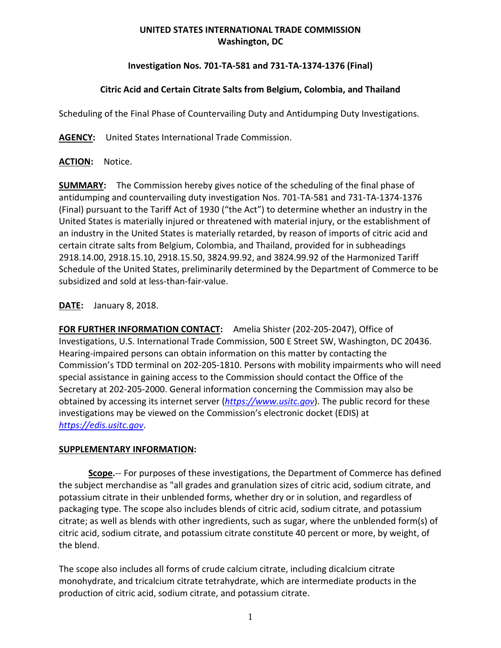# **UNITED STATES INTERNATIONAL TRADE COMMISSION Washington, DC**

# **Investigation Nos. 701-TA-581 and 731-TA-1374-1376 (Final)**

# **Citric Acid and Certain Citrate Salts from Belgium, Colombia, and Thailand**

Scheduling of the Final Phase of Countervailing Duty and Antidumping Duty Investigations.

**AGENCY:** United States International Trade Commission.

#### **ACTION:** Notice.

**SUMMARY:** The Commission hereby gives notice of the scheduling of the final phase of antidumping and countervailing duty investigation Nos. 701-TA-581 and 731-TA-1374-1376 (Final) pursuant to the Tariff Act of 1930 ("the Act") to determine whether an industry in the United States is materially injured or threatened with material injury, or the establishment of an industry in the United States is materially retarded, by reason of imports of citric acid and certain citrate salts from Belgium, Colombia, and Thailand, provided for in subheadings 2918.14.00, 2918.15.10, 2918.15.50, 3824.99.92, and 3824.99.92 of the Harmonized Tariff Schedule of the United States, preliminarily determined by the Department of Commerce to be subsidized and sold at less-than-fair-value.

**DATE:** January 8, 2018.

**FOR FURTHER INFORMATION CONTACT:** Amelia Shister (202-205-2047), Office of Investigations, U.S. International Trade Commission, 500 E Street SW, Washington, DC 20436. Hearing-impaired persons can obtain information on this matter by contacting the Commission's TDD terminal on 202-205-1810. Persons with mobility impairments who will need special assistance in gaining access to the Commission should contact the Office of the Secretary at 202-205-2000. General information concerning the Commission may also be obtained by accessing its internet server (*[https://www.usitc.gov](https://www.usitc.gov/)*). The public record for these investigations may be viewed on the Commission's electronic docket (EDIS) at *[https://edis.usitc.gov](https://edis.usitc.gov/)*.

#### **SUPPLEMENTARY INFORMATION:**

**Scope.**-- For purposes of these investigations, the Department of Commerce has defined the subject merchandise as "all grades and granulation sizes of citric acid, sodium citrate, and potassium citrate in their unblended forms, whether dry or in solution, and regardless of packaging type. The scope also includes blends of citric acid, sodium citrate, and potassium citrate; as well as blends with other ingredients, such as sugar, where the unblended form(s) of citric acid, sodium citrate, and potassium citrate constitute 40 percent or more, by weight, of the blend.

The scope also includes all forms of crude calcium citrate, including dicalcium citrate monohydrate, and tricalcium citrate tetrahydrate, which are intermediate products in the production of citric acid, sodium citrate, and potassium citrate.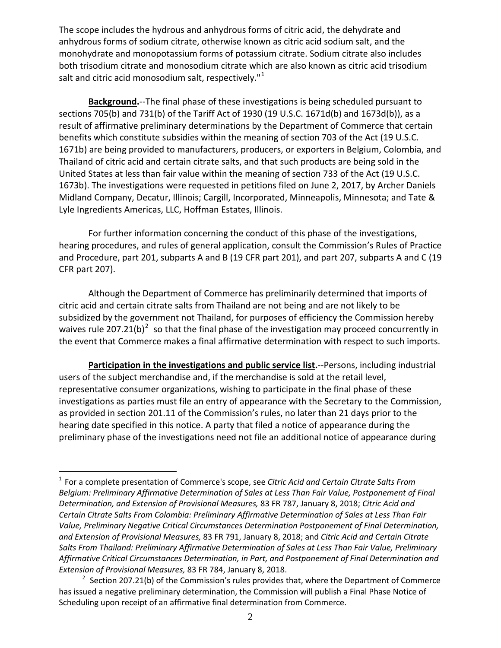The scope includes the hydrous and anhydrous forms of citric acid, the dehydrate and anhydrous forms of sodium citrate, otherwise known as citric acid sodium salt, and the monohydrate and monopotassium forms of potassium citrate. Sodium citrate also includes both trisodium citrate and monosodium citrate which are also known as citric acid trisodium salt and citric acid monosodium salt, respectively."<sup>[1](#page-1-0)</sup>

**Background.**--The final phase of these investigations is being scheduled pursuant to sections 705(b) and 731(b) of the Tariff Act of 1930 (19 U.S.C. 1671d(b) and 1673d(b)), as a result of affirmative preliminary determinations by the Department of Commerce that certain benefits which constitute subsidies within the meaning of section 703 of the Act (19 U.S.C. 1671b) are being provided to manufacturers, producers, or exporters in Belgium, Colombia, and Thailand of citric acid and certain citrate salts, and that such products are being sold in the United States at less than fair value within the meaning of section 733 of the Act (19 U.S.C. 1673b). The investigations were requested in petitions filed on June 2, 2017, by Archer Daniels Midland Company, Decatur, Illinois; Cargill, Incorporated, Minneapolis, Minnesota; and Tate & Lyle Ingredients Americas, LLC, Hoffman Estates, Illinois.

For further information concerning the conduct of this phase of the investigations, hearing procedures, and rules of general application, consult the Commission's Rules of Practice and Procedure, part 201, subparts A and B (19 CFR part 201), and part 207, subparts A and C (19 CFR part 207).

Although the Department of Commerce has preliminarily determined that imports of citric acid and certain citrate salts from Thailand are not being and are not likely to be subsidized by the government not Thailand, for purposes of efficiency the Commission hereby waives rule [2](#page-1-1)07.21(b)<sup>2</sup> so that the final phase of the investigation may proceed concurrently in the event that Commerce makes a final affirmative determination with respect to such imports.

Participation in the investigations and public service list.--Persons, including industrial users of the subject merchandise and, if the merchandise is sold at the retail level, representative consumer organizations, wishing to participate in the final phase of these investigations as parties must file an entry of appearance with the Secretary to the Commission, as provided in section 201.11 of the Commission's rules, no later than 21 days prior to the hearing date specified in this notice. A party that filed a notice of appearance during the preliminary phase of the investigations need not file an additional notice of appearance during

 $\overline{a}$ 

<span id="page-1-0"></span><sup>1</sup> For a complete presentation of Commerce's scope, see *Citric Acid and Certain Citrate Salts From Belgium: Preliminary Affirmative Determination of Sales at Less Than Fair Value, Postponement of Final Determination, and Extension of Provisional Measures,* 83 FR 787, January 8, 2018; *Citric Acid and Certain Citrate Salts From Colombia: Preliminary Affirmative Determination of Sales at Less Than Fair Value, Preliminary Negative Critical Circumstances Determination Postponement of Final Determination, and Extension of Provisional Measures,* 83 FR 791, January 8, 2018; and *Citric Acid and Certain Citrate Salts From Thailand: Preliminary Affirmative Determination of Sales at Less Than Fair Value, Preliminary Affirmative Critical Circumstances Determination, in Part, and Postponement of Final Determination and Extension of Provisional Measures,* 83 FR 784, January 8, 2018.

<span id="page-1-1"></span><sup>&</sup>lt;sup>2</sup> Section 207.21(b) of the Commission's rules provides that, where the Department of Commerce has issued a negative preliminary determination, the Commission will publish a Final Phase Notice of Scheduling upon receipt of an affirmative final determination from Commerce.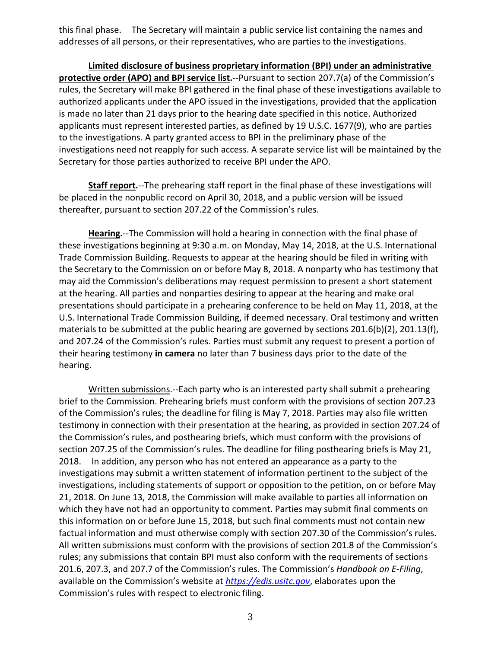this final phase. The Secretary will maintain a public service list containing the names and addresses of all persons, or their representatives, who are parties to the investigations.

**Limited disclosure of business proprietary information (BPI) under an administrative protective order (APO) and BPI service list.**--Pursuant to section 207.7(a) of the Commission's rules, the Secretary will make BPI gathered in the final phase of these investigations available to authorized applicants under the APO issued in the investigations, provided that the application is made no later than 21 days prior to the hearing date specified in this notice. Authorized applicants must represent interested parties, as defined by 19 U.S.C. 1677(9), who are parties to the investigations. A party granted access to BPI in the preliminary phase of the investigations need not reapply for such access. A separate service list will be maintained by the Secretary for those parties authorized to receive BPI under the APO.

**Staff report.**--The prehearing staff report in the final phase of these investigations will be placed in the nonpublic record on April 30, 2018, and a public version will be issued thereafter, pursuant to section 207.22 of the Commission's rules.

**Hearing.**--The Commission will hold a hearing in connection with the final phase of these investigations beginning at 9:30 a.m. on Monday, May 14, 2018, at the U.S. International Trade Commission Building. Requests to appear at the hearing should be filed in writing with the Secretary to the Commission on or before May 8, 2018. A nonparty who has testimony that may aid the Commission's deliberations may request permission to present a short statement at the hearing. All parties and nonparties desiring to appear at the hearing and make oral presentations should participate in a prehearing conference to be held on May 11, 2018, at the U.S. International Trade Commission Building, if deemed necessary. Oral testimony and written materials to be submitted at the public hearing are governed by sections 201.6(b)(2), 201.13(f), and 207.24 of the Commission's rules. Parties must submit any request to present a portion of their hearing testimony **in camera** no later than 7 business days prior to the date of the hearing.

Written submissions.--Each party who is an interested party shall submit a prehearing brief to the Commission. Prehearing briefs must conform with the provisions of section 207.23 of the Commission's rules; the deadline for filing is May 7, 2018. Parties may also file written testimony in connection with their presentation at the hearing, as provided in section 207.24 of the Commission's rules, and posthearing briefs, which must conform with the provisions of section 207.25 of the Commission's rules. The deadline for filing posthearing briefs is May 21, 2018. In addition, any person who has not entered an appearance as a party to the investigations may submit a written statement of information pertinent to the subject of the investigations, including statements of support or opposition to the petition, on or before May 21, 2018. On June 13, 2018, the Commission will make available to parties all information on which they have not had an opportunity to comment. Parties may submit final comments on this information on or before June 15, 2018, but such final comments must not contain new factual information and must otherwise comply with section 207.30 of the Commission's rules. All written submissions must conform with the provisions of section 201.8 of the Commission's rules; any submissions that contain BPI must also conform with the requirements of sections 201.6, 207.3, and 207.7 of the Commission's rules. The Commission's *Handbook on E-Filing*, available on the Commission's website at *[https://edis.usitc.gov](https://edis.usitc.gov/)*, elaborates upon the Commission's rules with respect to electronic filing.